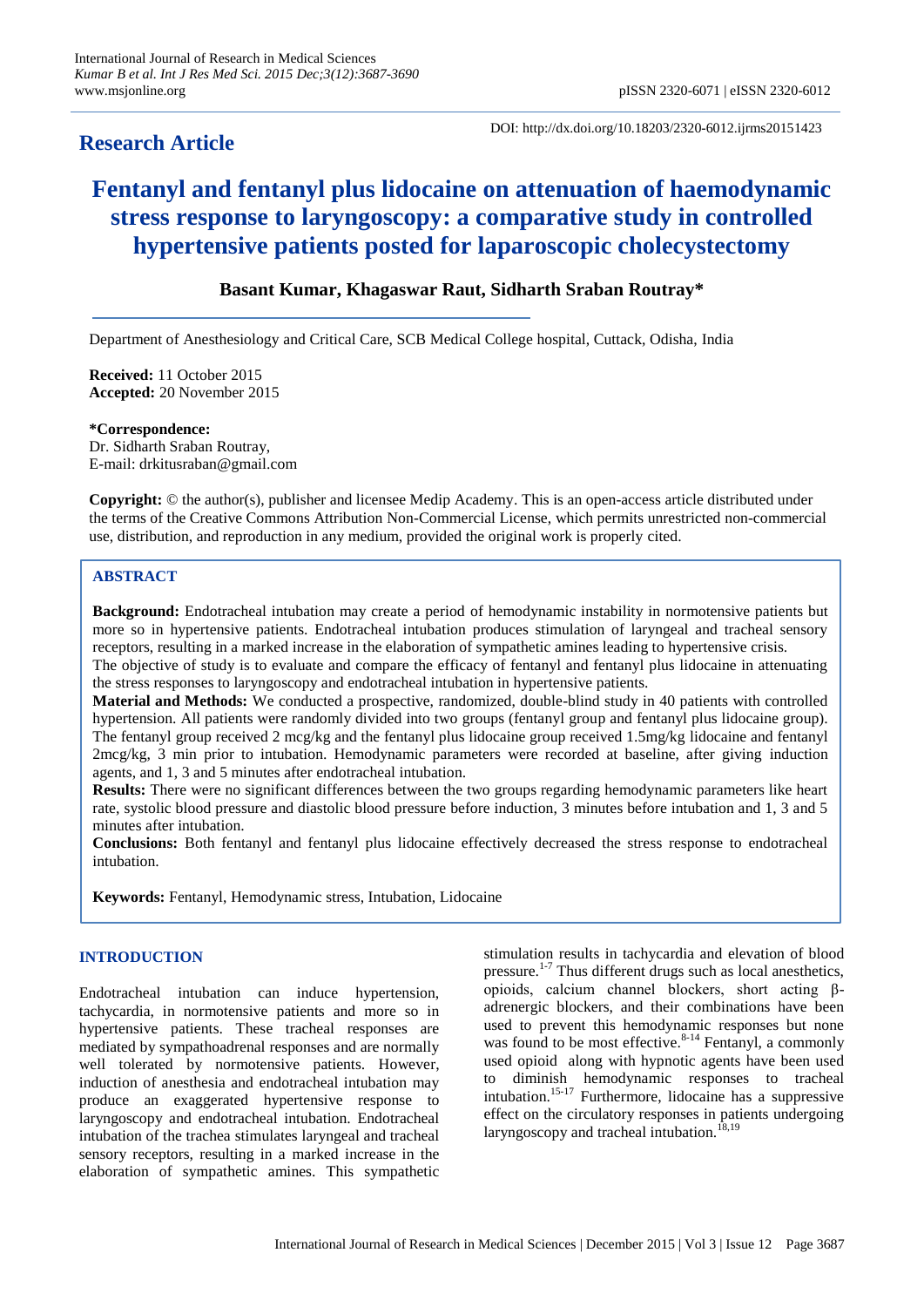# **Research Article**

DOI: http://dx.doi.org/10.18203/2320-6012.ijrms20151423

# **Fentanyl and fentanyl plus lidocaine on attenuation of haemodynamic stress response to laryngoscopy: a comparative study in controlled hypertensive patients posted for laparoscopic cholecystectomy**

# **Basant Kumar, Khagaswar Raut, Sidharth Sraban Routray\***

Department of Anesthesiology and Critical Care, SCB Medical College hospital, Cuttack, Odisha, India

**Received:** 11 October 2015 **Accepted:** 20 November 2015

**\*Correspondence:** Dr. Sidharth Sraban Routray, E-mail: drkitusraban@gmail.com

**Copyright:** © the author(s), publisher and licensee Medip Academy. This is an open-access article distributed under the terms of the Creative Commons Attribution Non-Commercial License, which permits unrestricted non-commercial use, distribution, and reproduction in any medium, provided the original work is properly cited.

# **ABSTRACT**

**Background:** Endotracheal intubation may create a period of hemodynamic instability in normotensive patients but more so in hypertensive patients. Endotracheal intubation produces stimulation of laryngeal and tracheal sensory receptors, resulting in a marked increase in the elaboration of sympathetic amines leading to hypertensive crisis. The objective of study is to evaluate and compare the efficacy of fentanyl and fentanyl plus lidocaine in attenuating

the stress responses to laryngoscopy and endotracheal intubation in hypertensive patients.

**Material and Methods:** We conducted a prospective, randomized, double-blind study in 40 patients with controlled hypertension. All patients were randomly divided into two groups (fentanyl group and fentanyl plus lidocaine group). The fentanyl group received 2 mcg/kg and the fentanyl plus lidocaine group received 1.5mg/kg lidocaine and fentanyl 2mcg/kg, 3 min prior to intubation. Hemodynamic parameters were recorded at baseline, after giving induction agents, and 1, 3 and 5 minutes after endotracheal intubation.

**Results:** There were no significant differences between the two groups regarding hemodynamic parameters like heart rate, systolic blood pressure and diastolic blood pressure before induction, 3 minutes before intubation and 1, 3 and 5 minutes after intubation.

**Conclusions:** Both fentanyl and fentanyl plus lidocaine effectively decreased the stress response to endotracheal intubation.

**Keywords:** Fentanyl, Hemodynamic stress, Intubation, Lidocaine

# **INTRODUCTION**

Endotracheal intubation can induce hypertension, tachycardia, in normotensive patients and more so in hypertensive patients. These tracheal responses are mediated by sympathoadrenal responses and are normally well tolerated by normotensive patients. However, induction of anesthesia and endotracheal intubation may produce an exaggerated hypertensive response to laryngoscopy and endotracheal intubation. Endotracheal intubation of the trachea stimulates laryngeal and tracheal sensory receptors, resulting in a marked increase in the elaboration of sympathetic amines. This sympathetic stimulation results in tachycardia and elevation of blood pressure.<sup>1-7</sup> Thus different drugs such as local anesthetics, opioids, calcium channel blockers, short acting βadrenergic blockers, and their combinations have been used to prevent this hemodynamic responses but none was found to be most effective. $8-14$  Fentanyl, a commonly used opioid along with hypnotic agents have been used to diminish hemodynamic responses to tracheal intubation.15-17 Furthermore, lidocaine has a suppressive effect on the circulatory responses in patients undergoing laryngoscopy and tracheal intubation.<sup>18,19</sup>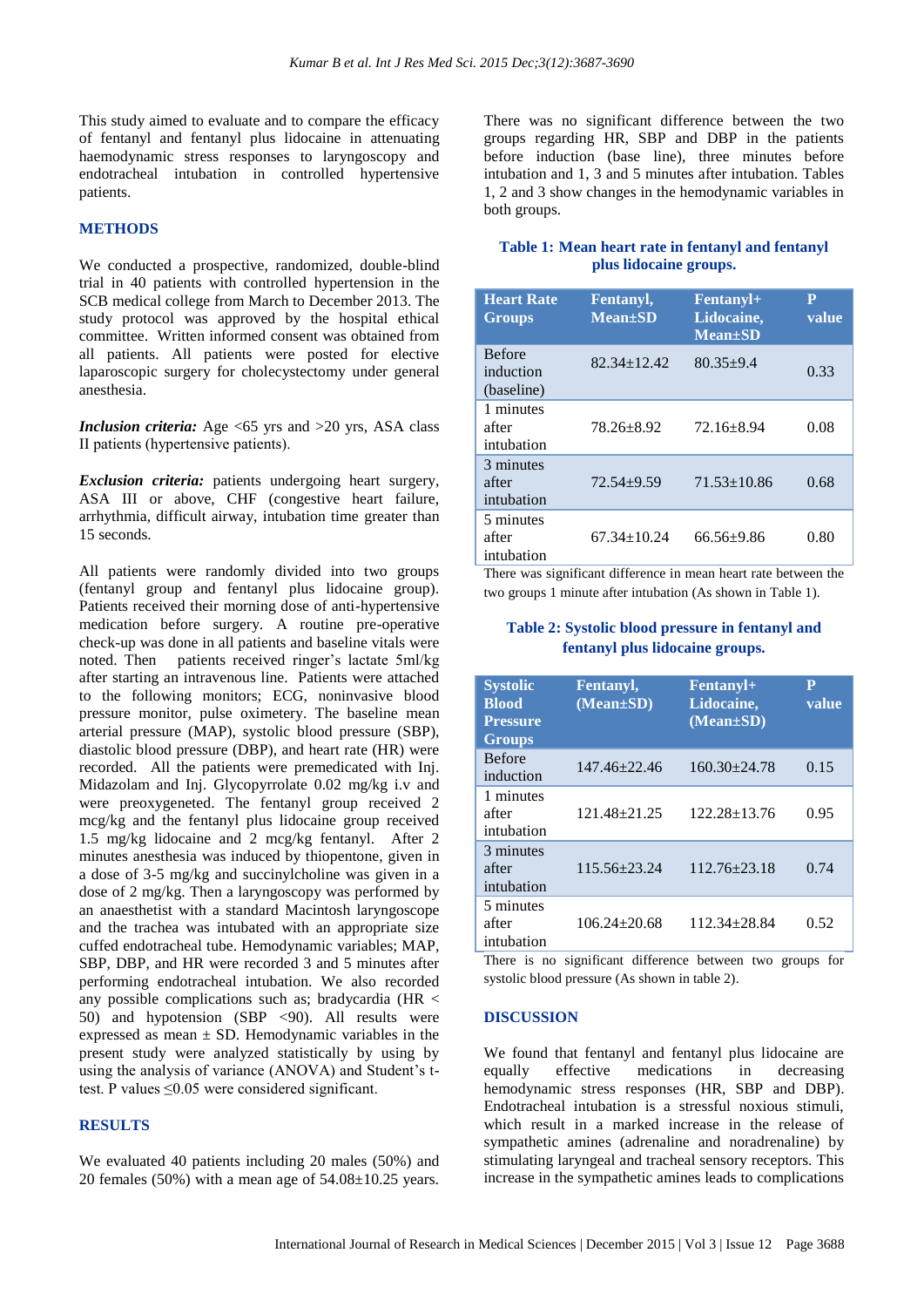This study aimed to evaluate and to compare the efficacy of fentanyl and fentanyl plus lidocaine in attenuating haemodynamic stress responses to laryngoscopy and endotracheal intubation in controlled hypertensive patients.

## **METHODS**

We conducted a prospective, randomized, double-blind trial in 40 patients with controlled hypertension in the SCB medical college from March to December 2013. The study protocol was approved by the hospital ethical committee. Written informed consent was obtained from all patients. All patients were posted for elective laparoscopic surgery for cholecystectomy under general anesthesia.

*Inclusion criteria:* Age <65 yrs and >20 yrs, ASA class ІІ patients (hypertensive patients).

*Exclusion criteria:* patients undergoing heart surgery, ASA III or above, CHF (congestive heart failure, arrhythmia, difficult airway, intubation time greater than 15 seconds.

All patients were randomly divided into two groups (fentanyl group and fentanyl plus lidocaine group). Patients received their morning dose of anti-hypertensive medication before surgery. A routine pre-operative check-up was done in all patients and baseline vitals were noted. Then patients received ringer's lactate 5ml/kg after starting an intravenous line. Patients were attached to the following monitors; ECG, noninvasive blood pressure monitor, pulse oximetery. The baseline mean arterial pressure (MAP), systolic blood pressure (SBP), diastolic blood pressure (DBP), and heart rate (HR) were recorded. All the patients were premedicated with Inj. Midazolam and Inj. Glycopyrrolate 0.02 mg/kg i.v and were preoxygeneted. The fentanyl group received 2 mcg/kg and the fentanyl plus lidocaine group received 1.5 mg/kg lidocaine and 2 mcg/kg fentanyl. After 2 minutes anesthesia was induced by thiopentone, given in a dose of 3-5 mg/kg and succinylcholine was given in a dose of 2 mg/kg. Then a laryngoscopy was performed by an anaesthetist with a standard Macintosh laryngoscope and the trachea was intubated with an appropriate size cuffed endotracheal tube. Hemodynamic variables; MAP, SBP, DBP, and HR were recorded 3 and 5 minutes after performing endotracheal intubation. We also recorded any possible complications such as; bradycardia (HR < 50) and hypotension (SBP <90). All results were expressed as mean  $\pm$  SD. Hemodynamic variables in the present study were analyzed statistically by using by using the analysis of variance (ANOVA) and Student's ttest. P values ≤0.05 were considered significant.

#### **RESULTS**

We evaluated 40 patients including 20 males (50%) and 20 females (50%) with a mean age of 54.08±10.25 years. There was no significant difference between the two groups regarding HR, SBP and DBP in the patients before induction (base line), three minutes before intubation and 1, 3 and 5 minutes after intubation. Tables 1, 2 and 3 show changes in the hemodynamic variables in both groups.

# **Table 1: Mean heart rate in fentanyl and fentanyl plus lidocaine groups.**

| <b>Heart Rate</b><br><b>Groups</b>       | <b>Fentanyl</b> ,<br>$Mean \pm SD$ | <b>Fentanyl+</b><br>Lidocaine,<br><b>Mean</b> ±SD | P<br>value |
|------------------------------------------|------------------------------------|---------------------------------------------------|------------|
| <b>Before</b><br>induction<br>(baseline) | $82.34 \pm 12.42$                  | $80.35 \pm 9.4$                                   | 0.33       |
| 1 minutes<br>after<br>intubation         | 78.26+8.92                         | $72.16 + 8.94$                                    | 0.08       |
| 3 minutes<br>after<br>intubation         | $72.54 + 9.59$                     | $71.53 \pm 10.86$                                 | 0.68       |
| 5 minutes<br>after<br>intubation         | $67.34 + 10.24$                    | $66.56 + 9.86$                                    | 0.80       |

There was significant difference in mean heart rate between the two groups 1 minute after intubation (As shown in Table 1).

# **Table 2: Systolic blood pressure in fentanyl and fentanyl plus lidocaine groups.**

| <b>Systolic</b><br><b>Blood</b><br><b>Pressure</b><br><b>Groups</b> | <b>Fentanyl,</b><br>$(Mean \pm SD)$ | Fentany <sup>1+</sup><br>Lidocaine,<br>$(Mean \pm SD)$ | P<br>value |
|---------------------------------------------------------------------|-------------------------------------|--------------------------------------------------------|------------|
| <b>Before</b><br>induction                                          | $147.46 \pm 22.46$                  | $160.30 + 24.78$                                       | 0.15       |
| 1 minutes<br>after<br>intubation                                    | $121.48 + 21.25$                    | 122.28+13.76                                           | 0.95       |
| 3 minutes<br>after<br>intubation                                    | $115.56 \pm 23.24$                  | $112.76 \pm 23.18$                                     | 0.74       |
| 5 minutes<br>after<br>intubation                                    | $106.24 + 20.68$                    | 112.34+28.84                                           | 0.52       |

There is no significant difference between two groups for systolic blood pressure (As shown in table 2).

#### **DISCUSSION**

We found that fentanyl and fentanyl plus lidocaine are equally effective medications in decreasing hemodynamic stress responses (HR, SBP and DBP). Endotracheal intubation is a stressful noxious stimuli, which result in a marked increase in the release of sympathetic amines (adrenaline and noradrenaline) by stimulating laryngeal and tracheal sensory receptors. This increase in the sympathetic amines leads to complications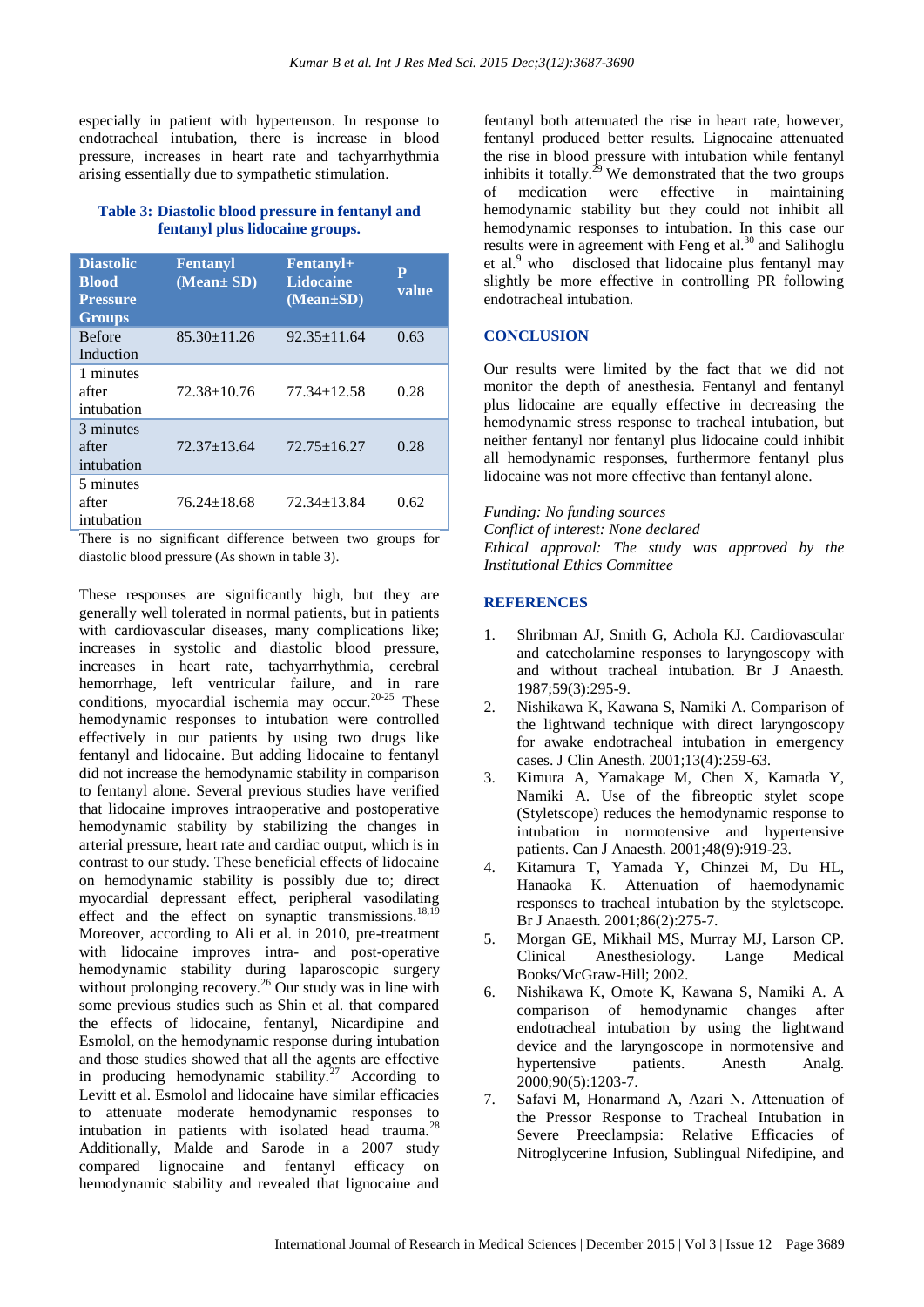especially in patient with hypertenson. In response to endotracheal intubation, there is increase in blood pressure, increases in heart rate and tachyarrhythmia arising essentially due to sympathetic stimulation.

## **Table 3: Diastolic blood pressure in fentanyl and fentanyl plus lidocaine groups.**

| <b>Diastolic</b><br><b>Blood</b><br><b>Pressure</b><br><b>Groups</b> | <b>Fentanyl</b><br>(Mean± SD) | Fentanyl+<br><b>Lidocaine</b><br>$(Mean \pm SD)$ | P<br>value |
|----------------------------------------------------------------------|-------------------------------|--------------------------------------------------|------------|
| <b>Before</b><br>Induction                                           | $85.30 \pm 11.26$             | $92.35 \pm 11.64$                                | 0.63       |
| 1 minutes<br>after<br>intubation                                     | $72.38 \pm 10.76$             | $77.34 + 12.58$                                  | 0.28       |
| 3 minutes<br>after<br>intubation                                     | $72.37 \pm 13.64$             | $72.75 \pm 16.27$                                | 0.28       |
| 5 minutes<br>after<br>intubation                                     | 76.24+18.68                   | 72.34+13.84                                      | 0.62       |

There is no significant difference between two groups for diastolic blood pressure (As shown in table 3).

These responses are significantly high, but they are generally well tolerated in normal patients, but in patients with cardiovascular diseases, many complications like; increases in systolic and diastolic blood pressure, increases in heart rate, tachyarrhythmia, cerebral hemorrhage, left ventricular failure, and in rare conditions, myocardial ischemia may occur.<sup>20-25</sup> These hemodynamic responses to intubation were controlled effectively in our patients by using two drugs like fentanyl and lidocaine. But adding lidocaine to fentanyl did not increase the hemodynamic stability in comparison to fentanyl alone. Several previous studies have verified that lidocaine improves intraoperative and postoperative hemodynamic stability by stabilizing the changes in arterial pressure, heart rate and cardiac output, which is in contrast to our study. These beneficial effects of lidocaine on hemodynamic stability is possibly due to; direct myocardial depressant effect, peripheral vasodilating effect and the effect on synaptic transmissions. $18,19$ Moreover, according to Ali et al. in 2010, pre-treatment with lidocaine improves intra- and post-operative hemodynamic stability during laparoscopic surgery without prolonging recovery.<sup>26</sup> Our study was in line with some previous studies such as Shin et al. that compared the effects of lidocaine, fentanyl, Nicardipine and Esmolol, on the hemodynamic response during intubation and those studies showed that all the agents are effective in producing hemodynamic stability.<sup>27</sup> According to Levitt et al. Esmolol and lidocaine have similar efficacies to attenuate moderate hemodynamic responses to intubation in patients with isolated head trauma.<sup>28</sup> Additionally, Malde and Sarode in a 2007 study compared lignocaine and fentanyl efficacy on hemodynamic stability and revealed that lignocaine and

fentanyl both attenuated the rise in heart rate, however, fentanyl produced better results. Lignocaine attenuated the rise in blood pressure with intubation while fentanyl inhibits it totally.<sup>29</sup> We demonstrated that the two groups of medication were effective in maintaining hemodynamic stability but they could not inhibit all hemodynamic responses to intubation. In this case our results were in agreement with Feng et al.<sup>30</sup> and Salihoglu et al.<sup>9</sup> who disclosed that lidocaine plus fentanyl may slightly be more effective in controlling PR following endotracheal intubation.

## **CONCLUSION**

Our results were limited by the fact that we did not monitor the depth of anesthesia. Fentanyl and fentanyl plus lidocaine are equally effective in decreasing the hemodynamic stress response to tracheal intubation, but neither fentanyl nor fentanyl plus lidocaine could inhibit all hemodynamic responses, furthermore fentanyl plus lidocaine was not more effective than fentanyl alone.

#### *Funding: No funding sources*

*Conflict of interest: None declared Ethical approval: The study was approved by the Institutional Ethics Committee*

#### **REFERENCES**

- 1. Shribman AJ, Smith G, Achola KJ. Cardiovascular and catecholamine responses to laryngoscopy with and without tracheal intubation. Br J Anaesth. 1987;59(3):295-9.
- 2. Nishikawa K, Kawana S, Namiki A. Comparison of the lightwand technique with direct laryngoscopy for awake endotracheal intubation in emergency cases. J Clin Anesth. 2001;13(4):259-63.
- 3. Kimura A, Yamakage M, Chen X, Kamada Y, Namiki A. Use of the fibreoptic stylet scope (Styletscope) reduces the hemodynamic response to intubation in normotensive and hypertensive patients. Can J Anaesth. 2001;48(9):919-23.
- 4. Kitamura T, Yamada Y, Chinzei M, Du HL, Hanaoka K. Attenuation of haemodynamic responses to tracheal intubation by the styletscope. Br J Anaesth. 2001;86(2):275-7.
- 5. Morgan GE, Mikhail MS, Murray MJ, Larson CP. Clinical Anesthesiology. Lange Medical Books/McGraw-Hill; 2002.
- 6. Nishikawa K, Omote K, Kawana S, Namiki A. A comparison of hemodynamic changes after endotracheal intubation by using the lightwand device and the laryngoscope in normotensive and hypertensive patients. Anesth Analg. 2000;90(5):1203-7.
- 7. Safavi M, Honarmand A, Azari N. Attenuation of the Pressor Response to Tracheal Intubation in Severe Preeclampsia: Relative Efficacies of Nitroglycerine Infusion, Sublingual Nifedipine, and